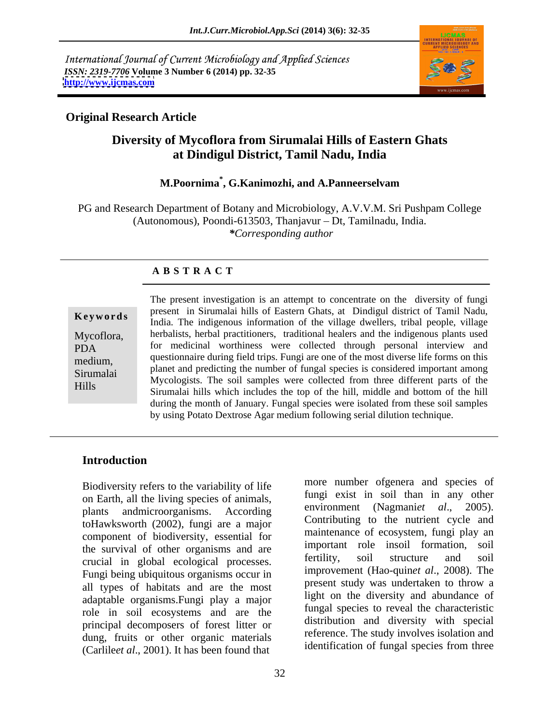International Journal of Current Microbiology and Applied Sciences *ISSN: 2319-7706* **Volume 3 Number 6 (2014) pp. 32-35 <http://www.ijcmas.com>**



## **Original Research Article**

# **Diversity of Mycoflora from Sirumalai Hills of Eastern Ghats at Dindigul District, Tamil Nadu, India**

### **M.Poornima\* , G.Kanimozhi, and A.Panneerselvam**

PG and Research Department of Botany and Microbiology, A.V.V.M. Sri Pushpam College (Autonomous), Poondi-613503, Thanjavur - Dt, Tamilnadu, India. *\*Corresponding author* 

### **A B S T R A C T**

**Keywords** India. The indigenous information of the village dwellers, tribal people, village India. The indigenous information of the village dwellers, tribal people, village Mycoflora, herbalists, herbal practitioners, traditional healers and the indigenous plants used PDA for medicinal worthiness were collected through personal interview and medium, questionnaire during field trips. Fungi are one of the most diverse life forms on this Sirumalai Phanet and predicting the number of fungal species is considered important among<br>THILE Mycologists. The soil samples were collected from three different parts of the Hills Sirumalai hills which includes the top of the hill, middle and bottom of the hill The present investigation is an attempt to concentrate on the diversity of fungi present in Sirumalai hills of Eastern Ghats, at Dindigul district of Tamil Nadu, planet and predicting the number of fungal species is considered important among during the month of January. Fungal species were isolated from these soil samples by using Potato Dextrose Agar medium following serial dilution technique.

## **Introduction**

Biodiversity refers to the variability of life on Earth, all the living species of animals,<br>
next the solution of the living species of animals,<br>
only in the environment (Nagmaniet al., 2005). plants andmicroorganisms. According toHawksworth (2002), fungi are a major component of biodiversity, essential for the survival of other organisms and are<br>the survival in clobal associated processes.<br>the structure and soil structure and soil crucial in global ecological processes. Fungi being ubiquitous organisms occur in all types of habitats and are the most adaptable organisms.Fungi play a major role in soil ecosystems and are the principal decomposers of forest litter or dung, fruits or other organic materials<br>(Corlibert al. 2001) It has been found that dentification of fungal species from three (Carlile*et al*., 2001). It has been found that

more number ofgenera and species of fungi exist in soil than in any other environment (Nagmaniet *al.*, Contributing to the nutrient cycle and maintenance of ecosystem, fungi play an important role insoil formation, soil fertility, soil structure and soil improvement (Hao-quin*et al*., 2008). The present study was undertaken to throw a light on the diversity and abundance of fungal species to reveal the characteristic distribution and diversity with special reference. The study involves isolation and identification of fungal species from three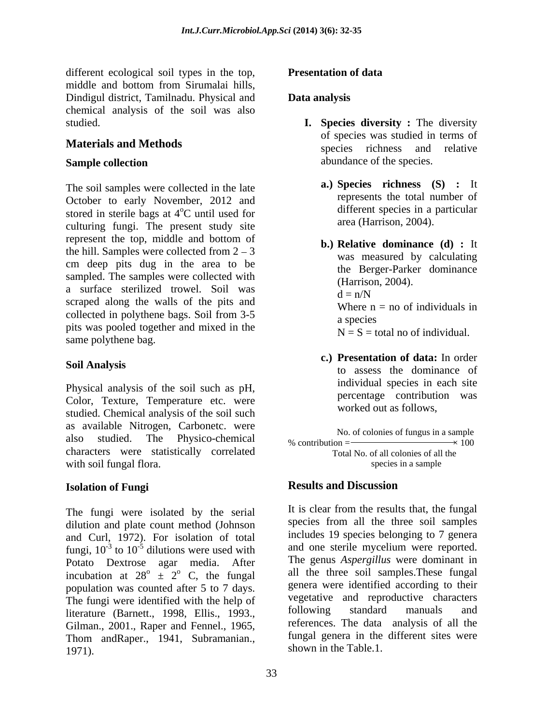different ecological soil types in the top, **Presentation of data** middle and bottom from Sirumalai hills, Dindigul district, Tamilnadu. Physical and **Data analysis** chemical analysis of the soil was also studied. **I. Species diversity :** The diversity

The soil samples were collected in the late October to early November, 2012 and stored in sterile bags at  $4^{\circ}$ C until used for culturing fungi. The present study site represent the top, middle and bottom of the hill. Samples were collected from  $2 - 3$ cm deep pits dug in the area to be sampled. The samples were collected with a surface sterilized trowel. Soil was  $d = n/N$ scraped along the walls of the pits and collected in polythene bags. Soil from 3-5 where n a species pits was pooled together and mixed in the same polythene bag.

Physical analysis of the soil such as pH, Color, Texture, Temperature etc. were studied. Chemical analysis of the soil such as available Nitrogen, Carbonetc. were also studied. The Physico-chemical % contribution characters were statistically correlated with soil fungal flora.  $\blacksquare$ 

The fungi were isolated by the serial dilution and plate count method (Johnson and Curl, 1972). For isolation of total fungi,  $10^{-3}$  to  $10^{-5}$  dilutions were used with and one sterile mycellum were reported. Potato Dextrose agar media. After incubation at  $28^{\circ} \pm 2^{\circ}$  C, the fungal population was counted after 5 to 7 days. The fungi were identified with the help of vegetative and reproductive characters<br>literature (Barnett 1998 Ellis 1993 following standard manuals and literature (Barnett., 1998, Ellis., 1993., Gilman., 2001., Raper and Fennel., 1965, Thom andRaper., 1941, Subramanian., shown in the Table. I.<br>shown in the Table. I.

## **Presentation of data**

## **Data analysis**

- **Materials and Methods** species richness and relative **Sample collection** abundance of the species. of species was studied in terms of abundance of the species.
	- <sup>o</sup>C until used for different species in a particular **a.) Species richness (S) :** It represents the total number of different species in a particular area (Harrison, 2004).
		- **b.) Relative dominance (d) :** It was measured by calculating the Berger-Parker dominance (Harrison, 2004).  $d = n/N$ Where  $n = no$  of individuals in a species  $N = S =$  total no of individual.
- **Soil Analysis c.) Presentation of data:** In order to assess the dominance of individual species in each site percentage contribution was worked out as follows,

No. of colonies of fungus in a sample  
\n% contribution = 
$$
\frac{\ }{100}
$$

 Total No. of all colonies of all the species in a sample

### **Isolation of Fungi Results and Discussion**

 $-3$  to 10<sup>-5</sup> dilutions were used with and one sterile mycelium were reported.  $\frac{1}{2}$   $\frac{1}{2}$  C, the fungal all the three soil samples. These fungal It is clear from the results that, the fungal species from all the three soil samples includes 19 species belonging to 7 genera The genus *Aspergillus* were dominant in genera were identified according to their vegetative and reproductive characters following standard manuals and references. The data analysis of all the fungal genera in the different sites were shown in the Table.1.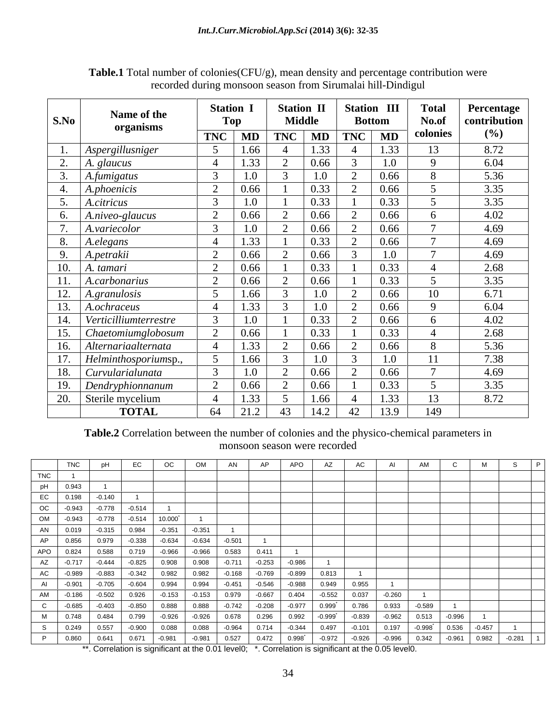|                      |                            | <b>Station 1</b>             | <b>Station II</b> | <b>Station III</b>     | <b>Total</b> | Percentage   |
|----------------------|----------------------------|------------------------------|-------------------|------------------------|--------------|--------------|
| S.No                 | Name of the<br>organisms   | Top                          | <b>Middle</b>     | <b>Bottom</b>          | No.of        | contribution |
|                      |                            | <b>TNC</b><br>$\blacksquare$ | TNC MD            | $\vert$ TNC $\vert$ MD | colonies     | (%)          |
|                      | Aspergillusniger           | .66                          |                   | 1.33                   | 13           | 8.72         |
| $\sim$<br><u>L</u> . | A. glaucus                 | 1.33                         | 0.66              | 1.0                    | $\Omega$     | 6.04         |
|                      | A.fumigatus                | 1.0                          |                   | 0.66                   |              | 5.36         |
|                      | A.phoenicis                | 0.66                         | 0.33              | 0.66                   |              | 3.35         |
| $\epsilon$<br>◡.     | A.citricus                 | 1.0                          | 0.33              | 0.33                   |              | 3.35         |
|                      | $A.niveo-glaucus$          | 0.66                         | 0.66              | $\vert 0.66 \vert$     |              | 4.02         |
|                      | A.variecolor               |                              | 0.66              | 0.66                   |              | 4.69         |
|                      | A.elegans                  |                              | 0.33              | 0.66                   |              | 4.69         |
| $\Omega$<br>フ・       | A.petrakii                 | 0.66                         | 0.66              | 1.0                    |              | 4.69         |
| 10.                  | A. tamari                  | 0.66                         | 0.33              | 0.33                   |              | 2.68         |
| 11.                  | A.carbonarius              | 0.66                         | 0.66              | 0.33                   |              | 3.35         |
| 12.                  | A. granulosis              | 1.66                         |                   | 0.66                   | 10           | 6.71         |
|                      | 13. A.ochraceus            | 1.33                         |                   | 0.66                   | $\Omega$     | 6.04         |
|                      | 14. Verticilliumterrestre  | $1.0\,$                      | 0.33              | 0.66                   |              | 4.02         |
| 15.                  | $\vert$ Chaetomiumglobosum | 0.66                         | 0.33              | 0.33                   |              | 2.68         |
|                      | 16. Alternariaalternata    | 1.33                         | 0.66              | 0.66                   | 8            | 5.36         |
| 17.                  | Helminthosporiumsp.,       | 1.66                         |                   | 1.0                    | 11           | 7.38         |
|                      | 18. Curvularialunata       | 1.0                          | 0.66              | 0.66                   |              | 4.69         |
|                      | 19. Dendryphionnanum       | 0.66                         | 0.66              | 0.33                   |              | 3.35         |
|                      | 20. Sterile mycelium       | 1.33                         | 1.66              | 1.33                   | 13           | 8.72         |
|                      | <b>TOTAL</b>               | 21.2<br>64                   | 43<br>14.2        | 13.9<br>42             | 149          |              |

**Table.1** Total number of colonies(CFU/g), mean density and percentage contribution were recorded during monsoon season from Sirumalai hill-Dindigul

**Table.2** Correlation between the number of colonies and the physico-chemical parameters in monsoon season were recorded

|                                                                          | <b>TNC</b> |          |       |                                                                                                                                                                                                                                                |                                                              |                                                                  |                |        |                                                                                                 |          |  |
|--------------------------------------------------------------------------|------------|----------|-------|------------------------------------------------------------------------------------------------------------------------------------------------------------------------------------------------------------------------------------------------|--------------------------------------------------------------|------------------------------------------------------------------|----------------|--------|-------------------------------------------------------------------------------------------------|----------|--|
|                                                                          |            |          |       | TNC pH EC OC OM AN<br>TNC 1<br>pH 0.943 1<br>EC 0.198 -0.140 1<br>OC -0.943 -0.778 -0.514 1<br>OM -0.943 -0.778 -0.514 1<br>OM -0.943 -0.778 -0.514 10.000 1<br>AN 0.019 -0.315 0.984 -0.351 -0.351 1<br>AP 0.856 0.979 -0.338 -0.634 -0.634 - |                                                              |                                                                  |                |        |                                                                                                 |          |  |
|                                                                          |            |          |       |                                                                                                                                                                                                                                                |                                                              |                                                                  |                |        |                                                                                                 |          |  |
|                                                                          |            |          |       |                                                                                                                                                                                                                                                |                                                              |                                                                  |                |        |                                                                                                 |          |  |
|                                                                          |            |          |       |                                                                                                                                                                                                                                                |                                                              |                                                                  |                |        |                                                                                                 |          |  |
|                                                                          |            |          |       |                                                                                                                                                                                                                                                |                                                              |                                                                  |                |        |                                                                                                 |          |  |
|                                                                          |            |          |       |                                                                                                                                                                                                                                                |                                                              |                                                                  |                |        |                                                                                                 |          |  |
|                                                                          |            |          |       |                                                                                                                                                                                                                                                |                                                              |                                                                  |                |        |                                                                                                 |          |  |
|                                                                          |            |          |       |                                                                                                                                                                                                                                                | 0.411                                                        |                                                                  |                |        |                                                                                                 |          |  |
|                                                                          |            |          |       |                                                                                                                                                                                                                                                |                                                              |                                                                  |                |        |                                                                                                 |          |  |
|                                                                          |            |          |       |                                                                                                                                                                                                                                                | $-0.883$ $-0.342$ $0.982$ $0.982$ $-0.168$ $-0.769$ $-0.899$ |                                                                  | 0.813          |        |                                                                                                 |          |  |
|                                                                          |            |          |       |                                                                                                                                                                                                                                                | $4\overline{)0.994}$ $-0.451$ $-0.546$ $-0.988$              |                                                                  | 0.949<br>0.955 |        |                                                                                                 |          |  |
|                                                                          |            |          |       |                                                                                                                                                                                                                                                |                                                              |                                                                  |                |        |                                                                                                 |          |  |
|                                                                          |            |          |       |                                                                                                                                                                                                                                                |                                                              |                                                                  |                |        | $-0.589$                                                                                        |          |  |
|                                                                          |            |          |       |                                                                                                                                                                                                                                                |                                                              | 0.296 0.992<br>$-0.999$                                          | $-0.839$       | -0.962 | 0.513                                                                                           | $-0.996$ |  |
|                                                                          | 0.557      | $-0.900$ | 0.088 | 0.088                                                                                                                                                                                                                                          | $-0.964$                                                     | $0.714$ $-0.344$ $0.497$ $-0.101$ $0.197$                        |                |        | $-0.998$ <sup>*</sup> 0.536 $-0.457$                                                            |          |  |
| $\begin{array}{c cc}\n & 6 & 0.249 \\ \hline\n & 8 & 0.860\n\end{array}$ |            |          |       |                                                                                                                                                                                                                                                |                                                              | 0.641   0.671   -0.981   -0.981   0.527   0.472   0.998   -0.972 |                |        | $\vert$ -0.926 $\vert$ -0.996 $\vert$ 0.342 $\vert$ -0.961 $\vert$ 0.982 $\vert$ -0.281 $\vert$ |          |  |

\*\*. Correlation is significant at the 0.01 level0; \*. Correlation is significant at the 0.05 level0.